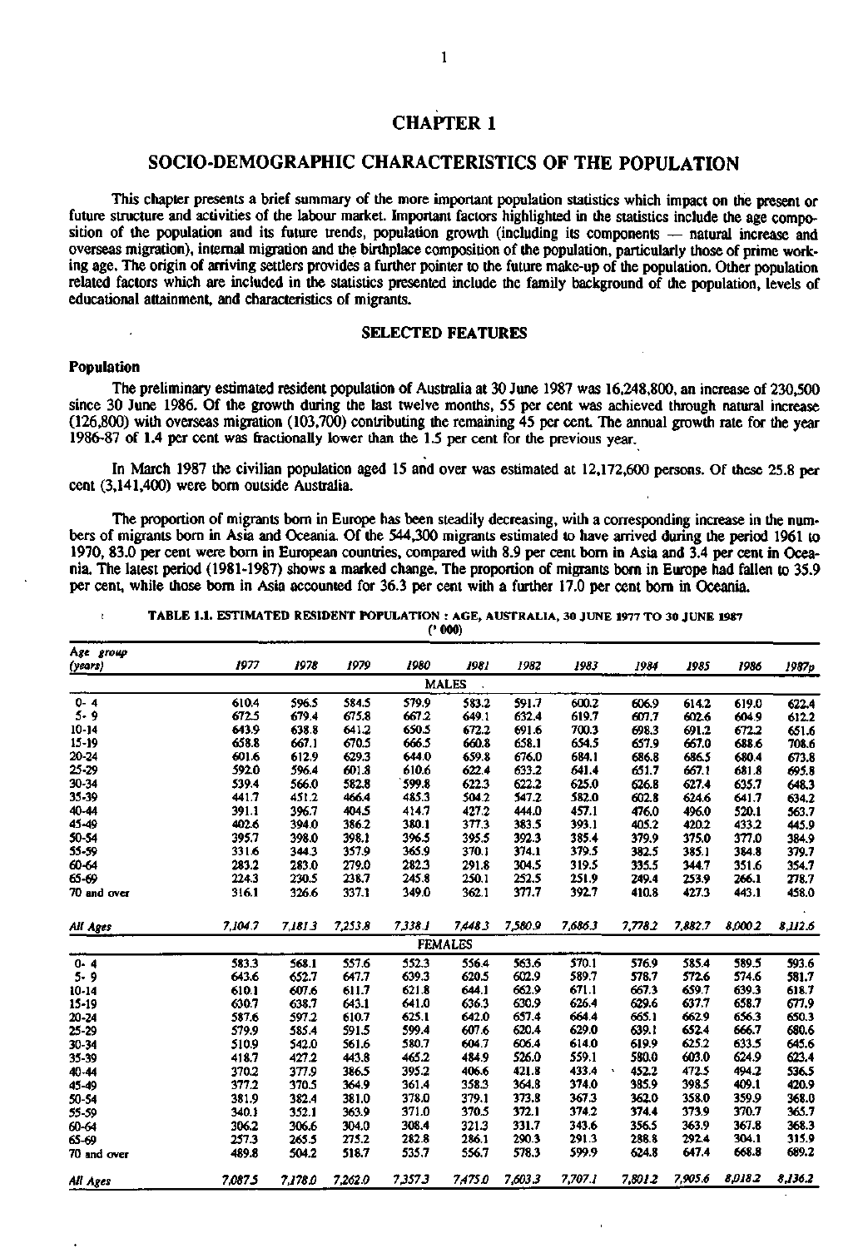# **CHAPTER 1**

# **SOCIO-DEMOGRAPHIC CHARACTERISTICS OF THE POPULATION**

This chapter presents a brief summary of the more important population statistics which impact on the present or future structure and activities of the labour market. Important factors highlighted in the statistics include the age composition of the population and its future trends, population growth (including its components — natural increase and overseas migration), internal migration and the birthplace composition of the population, particularly those of prime working age. The origin of arriving settlers provides a further pointer to the future make-up of the population. Other population related factors which are included in the statistics presented include the family background of the population, levels of educational attainment, and characteristics of migrants.

# **SELECTED FEATURES**

# **Population**

The preliminary estimated resident population of Australia at 30 June 1987 was 16,248,800, an increase of 230,500 since 30 June 1986. Of the growth during the last twelve months, 55 per cent was achieved through natural increase (126,800) with overseas migration (103,700) contributing the remaining 45 per cent. The annual growth rate for the year 1986-87 of 1.4 per cent was fractionally lower than the 1.5 per cent for the previous year.

In March 1987 the civilian population aged 15 and over was estimated at 12,172,600 persons. Of these 25.8 per cent (3,141,400) were born outside Australia.

The proportion of migrants born in Europe has been steadily decreasing, with a corresponding increase in the numbers of migrants born in Asia and Oceania. Of the 544,300 migrants estimated to have arrived during the period 1961 to 1970, 83.0 per cent were born in European countries, compared with 8.9 per cent born in Asia and 3.4 per cent in Oceania. The latest period (1981-1987) shows a marked change. The proportion of migrants born in Europe had fallen to 35.9 per cent, while those bom in Asia accounted for 36.3 per cent with a further 17.0 per cent bom in Oceania.

**i TABLE 1.1. ESTIMATED RESIDENT POPULATION : AGE, AUSTRALIA, 30 JUNE 1977 TO 30 JUNE 1987** 

**(•000)** 

| Age group   |         |         |         |         |                |         |         |         |         |         |         |
|-------------|---------|---------|---------|---------|----------------|---------|---------|---------|---------|---------|---------|
| (years)     | 1977    | 1978    | 1979    | 1980    | 1981           | 1982    | 1983    | 1984    | 1985    | 1986    | 1987p   |
|             |         |         |         |         | <b>MALES</b>   |         |         |         |         |         |         |
| $0 - 4$     | 610.4   | 596.5   | 584.5   | 579.9   | 583.2          | 591.7   | 600.2   | 606.9   | 614.2   | 619.0   | 622.4   |
| 5.9         | 672.5   | 679.4   | 675.8   | 667.2   | 649.1          | 632.4   | 619.7   | 607.7   | 602.6   | 604.9   | 612.2   |
| $10 - 14$   | 643.9   | 638.8   | 641.2   | 650.5   | 672.2          | 691.6   | 700.3   | 698.3   | 691.2   | 672.2   | 651.6   |
| $15-19$     | 658.8   | 667.1   | 670.5   | 666.5   | 660.8          | 658.1   | 654.5   | 657.9   | 667.0   | 688.6   | 708.6   |
| 20-24       | 601.6   | 612.9   | 629.3   | 644.0   | 659.8          | 676.0   | 684.1   | 686.8   | 686.5   | 680.4   | 673.8   |
| 25-29       | 592.0   | 596.4   | 601.8   | 610.6   | 622.4          | 633.2   | 641.4   | 651.7   | 667.1   | 681.8   | 695.8   |
| 30-34       | 539.4   | 566.0   | 582.8   | 599.8   | 622.3          | 622.2   | 625.0   | 626.8   | 627.4   | 635.7   | 648.3   |
| 35-39       | 441.7   | 451.2   | 466.4   | 485.3   | 504.2          | 547.2   | 582.0   | 602.8   | 624.6   | 641.7   | 634.2   |
| 40-44       | 391.1   | 396.7   | 404.5   | 414.7   | 427.2          | 444.0   | 457.1   | 476.0   | 496.0   | 520.1   | 563.7   |
| 45-49       | 402.6   | 394.0   | 386.2   | 380.1   | 377,3          | 383.5   | 393.1   | 405.2   | 420.2   | 433.2   | 445.9   |
| 50-54       | 395.7   | 398.0   | 398.1   | 396.5   | 395.5          | 392.3   | 385.4   | 379.9   | 375.0   | 377.0   | 384.9   |
| 55-59       | 331.6   | 344.3   | 357.9   | 365.9   | 370.1          | 374.1   | 379.5   | 382.5   | 385.1   | 384.8   | 379.7   |
| 60-64       | 283.2   | 283.0   | 279.0   | 282.3   | 291.8          | 304.5   | 319.5   | 335.5   | 344.7   | 351.6   | 354.7   |
| 65-69       | 224.3   | 230.5   | 238.7   | 245.8   | 250.1          | 252.5   | 251.9   | 249.4   | 253.9   | 266.1   | 278.7   |
| 70 and over | 316.1   | 326.6   | 337.1   | 349.0   | 362.1          | 377.7   | 392.7   | 410.8   | 427.3   | 443.1   | 458.0   |
| All Ages    | 7.104.7 | 7.181.3 | 7,253.8 | 7,338.1 | 7,448.3        | 7,580.9 | 7.686.3 | 7.778.2 | 7.882.7 | 8.000.2 | 8,112.6 |
|             |         |         |         |         | <b>FEMALES</b> |         |         |         |         |         |         |
| $0 - 4$     | 583.3   | 568.1   | 557.6   | 552.3   | 556.4          | 563.6   | 570.1   | 576.9   | 585.4   | 589.5   | 593.6   |
| $5 - 9$     | 643.6   | 652.7   | 647.7   | 639.3   | 620.5          | 602.9   | 589.7   | 578.7   | 572.6   | 574.6   | 581.7   |
| $10 - 14$   | 610.1   | 607.6   | 611.7   | 621.8   | 644.1          | 662.9   | 671.1   | 667.3   | 659.7   | 639.3   | 618.7   |
| 15-19       | 630.7   | 638.7   | 643.1   | 641.0   | 636.3          | 630.9   | 626.4   | 629.6   | 637.7   | 658.7   | 677.9   |
| 20-24       | 587.6   | 597.2   | 610.7   | 625.1   | 642.0          | 657.4   | 664.4   | 665.1   | 662.9   | 656.3   | 650.3   |
| 25-29       | 579.9   | 585.4   | 591.5   | 599.4   | 607.6          | 620.4   | 629.0   | 639.1   | 652.4   | 666.7   | 680.6   |
| 30-34       | 510.9   | 542.0   | 561.6   | 580.7   | 604.7          | 606.4   | 614.0   | 619.9   | 625.2   | 633.5   | 645.6   |
| 35-39       | 418.7   | 427.2   | 443.8   | 465.2   | 484.9          | 526.0   | 559.1   | 580.0   | 603.0   | 624.9   | 623.4   |
| 40-44       | 370.2   | 377.9   | 386.5   | 395.2   | 406.6          | 421.8   | 433.4   | 452.2   | 472.5   | 494.2   | 536.5   |
| 45-49       | 377.2   | 370.5   | 364.9   | 361.4   | 358.3          | 364.8   | 374.0   | 385.9   | 398.5   | 409.1   | 420.9   |
| 50-54       | 381.9   | 382.4   | 381.0   | 378.0   | 379.1          | 373.8   | 367.3   | 362.0   | 358.0   | 359.9   | 368.0   |
| 55-59       | 340.1   | 352.1   | 363.9   | 371.0   | 370.5          | 372.1   | 374.2   | 374.4   | 373.9   | 370.7   | 365.7   |
| 60-64       | 306.2   | 306.6   | 304.0   | 308.4   | 321.3          | 331.7   | 343.6   | 356.5   | 363.9   | 367.8   | 368.3   |
| 65-69       | 257.3   | 265.5   | 275.2   | 282.8   | 286.1          | 290.3   | 291.3   | 288.8   | 292.4   | 304.1   | 315.9   |
| 70 and over | 489.8   | 504.2   | 518.7   | 535.7   | 556.7          | 578.3   | 599.9   | 624.8   | 647.4   | 668.8   | 689.2   |
| Ali Ages    | 7.087.5 | 7.178.0 | 7,262.0 | 7,357.3 | 7,475.0        | 7,603.3 | 7,707.1 | 7,8012  | 7,905.6 | 8,018.2 | 8,136.2 |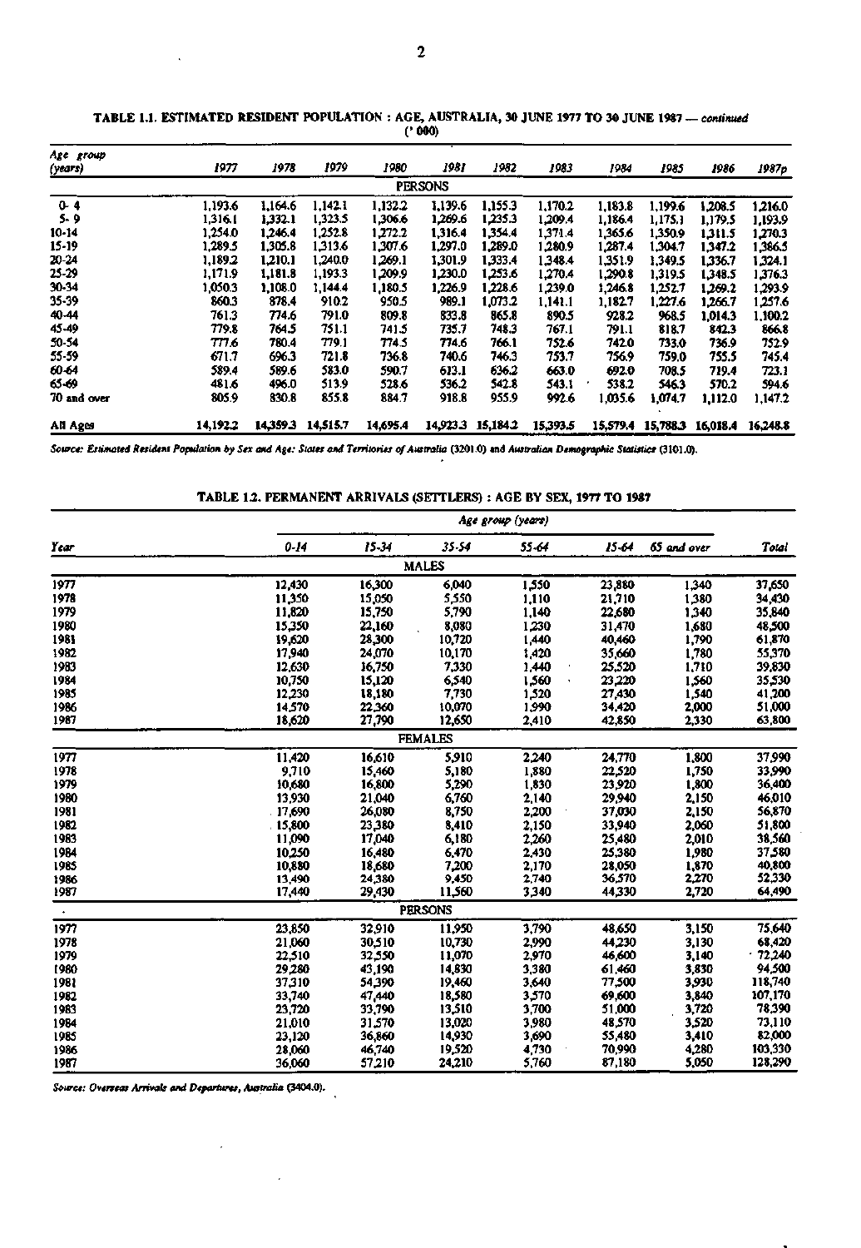| Age group<br>(years) | 1977     | 1978     | 1979     | 1980     | 1981           | 1982              | 1983     | 1984    | 1985                       | 1986    | 1987 <sub>p</sub> |
|----------------------|----------|----------|----------|----------|----------------|-------------------|----------|---------|----------------------------|---------|-------------------|
|                      |          |          |          |          | <b>PERSONS</b> |                   |          |         |                            |         |                   |
| $0 - 4$              | 1.193.6  | 1,164.6  | 1.142.1  | 1,132.2  | 1,139.6        | 1,155.3           | 1,170.2  | 1,183.8 | 1,199.6                    | 1.208.5 | 1,216.0           |
| 5.9                  | 1,316.1  | 1.332.1  | 1,323.5  | 1,306.6  | 1,269.6        | 1,235.3           | 1,209.4  | 1.186.4 | 1.175.1                    | 1.179.5 | 1,193.9           |
| 10-14                | 1.254.0  | 1.246.4  | 1.252.8  | 1.272.2  | 1.316.4        | 1.354.4           | 1,371.4  | 1,365.6 | 1,350.9                    | 1.311.5 | 1,270.3           |
| $15-19$              | 1,289.5  | 1,305.8  | 1,313.6  | 1,307.6  | 1,297.0        | 1,289.0           | 1,280.9  | 1,287.4 | 1,304.7                    | 1,347.2 | 1,386.5           |
| 20-24                | 1,189.2  | 1.210.1  | 1.240.0  | 1.269.1  | 1.301.9        | 1,333.4           | 1.348.4  | 1.351.9 | 1.349.5                    | 1,336.7 | 1,324.1           |
| 25-29                | 1.171.9  | 1,181.8  | 1,193.3  | 1,209.9  | 1,230.0        | 1,253.6           | 1,270.4  | 1,290.8 | 1,319.5                    | 1,348.5 | 1,376.3           |
| 30-34                | 1,050.3  | 1,108.0  | 1,144.4  | 1,180.5  | 1,226.9        | 1,228.6           | 1,239.0  | 1,246.8 | 1,252.7                    | 1.269.2 | 1.293.9           |
| 35-39                | 860.3    | 878.4    | 910.2    | 950.5    | 989.1          | 1,073.2           | 1,141.1  | 1,182.7 | 1,227.6                    | 1,266.7 | 1,257.6           |
| 40-44                | 761.3    | 774.6    | 791.0    | 809.8    | 833.8          | 865.8             | 890.5    | 928.2   | 968.5                      | 1,014.3 | 1,100.2           |
| 45-49                | 779.8    | 764.5    | 751.1    | 741.5    | 735.7          | 748.3             | 767.1    | 791.1   | 818.7                      | 842.3   | 866.8             |
| 50-54                | TT1.6    | 780.4    | 779.1    | 774.5    | 774.6          | 766.1             | 752.6    | 742.0   | 733.0                      | 736.9   | 752.9             |
| 55-59                | 671.7    | 696.3    | 721.8    | 736.8    | 740.6          | 746.3             | 753.7    | 756.9   | 759.0                      | 755.5   | 745.4             |
| 60-64                | 589.4    | 589.6    | 583.0    | 590.7    | 613.1          | 636.2             | 663.0    | 692.0   | 708.5                      | 719.4   | 723.1             |
| 65-69                | 481.6    | 496.0    | 513.9    | 528.6    | 536.2          | 542.8             | 543.1    | 538.2   | 546.3                      | 570.2   | 594.6             |
| 70 and over          | 805.9    | 830.8    | 855.8    | 884.7    | 918.8          | 955.9             | 992.6    | 1.035.6 | 1.074.7                    | 1,112.0 | 1,147.2           |
| All Ages             | 14,192.2 | 14,359.3 | 14,515.7 | 14,695.4 |                | 14,923.3 15,184.2 | 15,393.5 |         | 15,579.4 15,788.3 16,018.4 |         | 16,248.8          |

TABLE 1.1. ESTIMATED RESIDENT POPULATION : AGE, AUSTRALIA, 30 JUNE 1977 TO 30 JUNE 1987 -- continued (•000)

*Source: Estimated Resident Population by Sex and Age: States and Territories of Australia* **(3201.0) and** *Australian Demographic Statistics* **(3101.0).** 

TABLE *12.* PERMANENT ARRIVALS (SETTLERS) : AGE **BY** SEX, **1977 TO 1987** 

|           |        | Age group (years) |                |       |        |             |         |  |  |  |  |
|-----------|--------|-------------------|----------------|-------|--------|-------------|---------|--|--|--|--|
| Year      | 0.14   | 15-34             | 35.54          | 55.64 | 15.64  | 65 and over | Total   |  |  |  |  |
|           |        |                   | <b>MALES</b>   |       |        |             |         |  |  |  |  |
| 1977      | 12,430 | 16,300            | 6,040          | 1,550 | 23,880 | 1,340       | 37,650  |  |  |  |  |
| 1978      | 11,350 | 15,050            | 5,550          | 1,110 | 21,710 | 1,380       | 34,430  |  |  |  |  |
| 1979      | 11,820 | 15,750            | 5,790          | 1,140 | 22,680 | 1,340       | 35,840  |  |  |  |  |
| 1980      | 15,350 | 22,160            | 8,080          | 1,230 | 31,470 | 1,680       | 48,500  |  |  |  |  |
| 1981      | 19,620 | 28,300            | 10,720         | 1,440 | 40,460 | 1,790       | 61,870  |  |  |  |  |
| 1982      | 17,940 | 24,070            | 10,170         | 1,420 | 35,660 | 1,780       | 55,370  |  |  |  |  |
| 1983      | 12,630 | 16,750            | 7,330          | 1,440 | 25,520 | 1,710       | 39,830  |  |  |  |  |
| 1984      | 10,750 | 15,120            | 6,540          | 1,560 | 23,220 | 1,560       | 35,530  |  |  |  |  |
| 1985      | 12,230 | 18,180            | 7,730          | 1,520 | 27,430 | 1,540       | 41,200  |  |  |  |  |
| 1986      | 14,570 | 22,360            | 10,070         | 1,990 | 34,420 | 2,000       | 51,000  |  |  |  |  |
| 1987      | 18,620 | 27,790            | 12,650         | 2,410 | 42,850 | 2,330       | 63,800  |  |  |  |  |
|           |        |                   | <b>FEMALES</b> |       |        |             |         |  |  |  |  |
| 1977      | 11,420 | 16,610            | 5,910          | 2,240 | 24,770 | 1,800       | 37,990  |  |  |  |  |
| 1978      | 9,710  | 15,460            | 5,180          | 1,880 | 22,520 | 1,750       | 33,990  |  |  |  |  |
| 1979      | 10,680 | 16,800            | 5,290          | 1,830 | 23,920 | 1,800       | 36,400  |  |  |  |  |
| 1980      | 13,930 | 21,040            | 6,760          | 2,140 | 29,940 | 2,150       | 46,010  |  |  |  |  |
| 1981      | 17,690 | 26,080            | 8,750          | 2,200 | 37,030 | 2,150       | 56,870  |  |  |  |  |
| 1982      | 15,800 | 23,380            | 8,410          | 2,150 | 33,940 | 2,060       | 51,800  |  |  |  |  |
| 1983      | 11,090 | 17,040            | 6,180          | 2,260 | 25,480 | 2,010       | 38,560  |  |  |  |  |
| 1984      | 10,250 | 16,480            | 6,470          | 2,430 | 25,380 | 1,980       | 37.580  |  |  |  |  |
| 1985      | 10,880 | 18,680            | 7,200          | 2,170 | 28,050 | 1,870       | 40,800  |  |  |  |  |
| 1986      | 13,490 | 24,380            | 9,450          | 2,740 | 36,570 | 2,270       | 52,330  |  |  |  |  |
| 1987      | 17,440 | 29,430            | 11,560         | 3,340 | 44.330 | 2,720       | 64,490  |  |  |  |  |
| $\bullet$ |        |                   | <b>PERSONS</b> |       |        |             |         |  |  |  |  |
| 1977      | 23,850 | 32.910            | 11.950         | 3,790 | 48.650 | 3,150       | 75,640  |  |  |  |  |
| 1978      | 21,060 | 30,510            | 10,730         | 2,990 | 44,230 | 3,130       | 68,420  |  |  |  |  |
| 1979      | 22,510 | 32,550            | 11,070         | 2,970 | 46,600 | 3,140       | .72,240 |  |  |  |  |
| 1980      | 29,280 | 43,190            | 14,830         | 3,380 | 61,460 | 3,830       | 94,500  |  |  |  |  |
| 1981      | 37,310 | 54,390            | 19,460         | 3,640 | 77,500 | 3,930       | 118,740 |  |  |  |  |
| 1982      | 33,740 | 47,440            | 18,580         | 3,570 | 69,600 | 3,840       | 107,170 |  |  |  |  |
| 1983      | 23,720 | 33,790            | 13,510         | 3,700 | 51,000 | 3,720       | 78,390  |  |  |  |  |
| 1984      | 21,010 | 31.570            | 13,020         | 3,980 | 48,570 | 3,520       | 73,110  |  |  |  |  |
| 1985      | 23,120 | 36,860            | 14,930         | 3,690 | 55,480 | 3,410       | 82,000  |  |  |  |  |
| 1986      | 28,060 | 46,740            | 19,520         | 4,730 | 70,990 | 4,280       | 103,330 |  |  |  |  |
| 1987      | 36,060 | 57,210            | 24,210         | 5,760 | 87,180 | 5,050       | 128,290 |  |  |  |  |

*Source: Overseas Arrivals and Departures, Australia* **(3404.0).** 

 $\sim 10^{-11}$ 

 $\ddot{\phantom{0}}$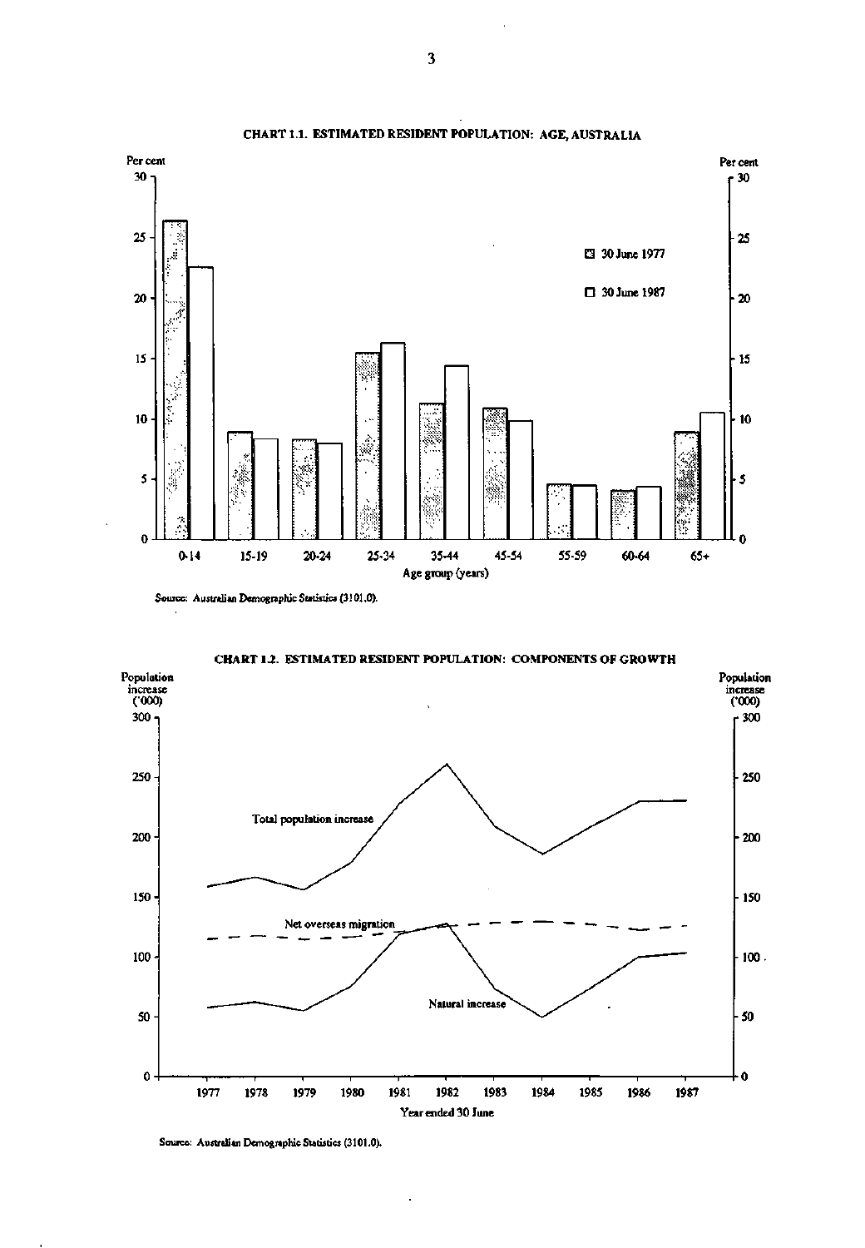

**CHART 1.1. ESTIMATED RESIDENT POPULATION:** AGE, **AUSTRALIA** 

Source: Australian Demographic Statistics (3101.0).

**CHART 1***2.* **ESTIMATED RESIDENT POPULATION: COMPONENTS OF GROWTH** 



 $\cdot$ 

l,

Source: Australian Demographic Statistics (3101.0).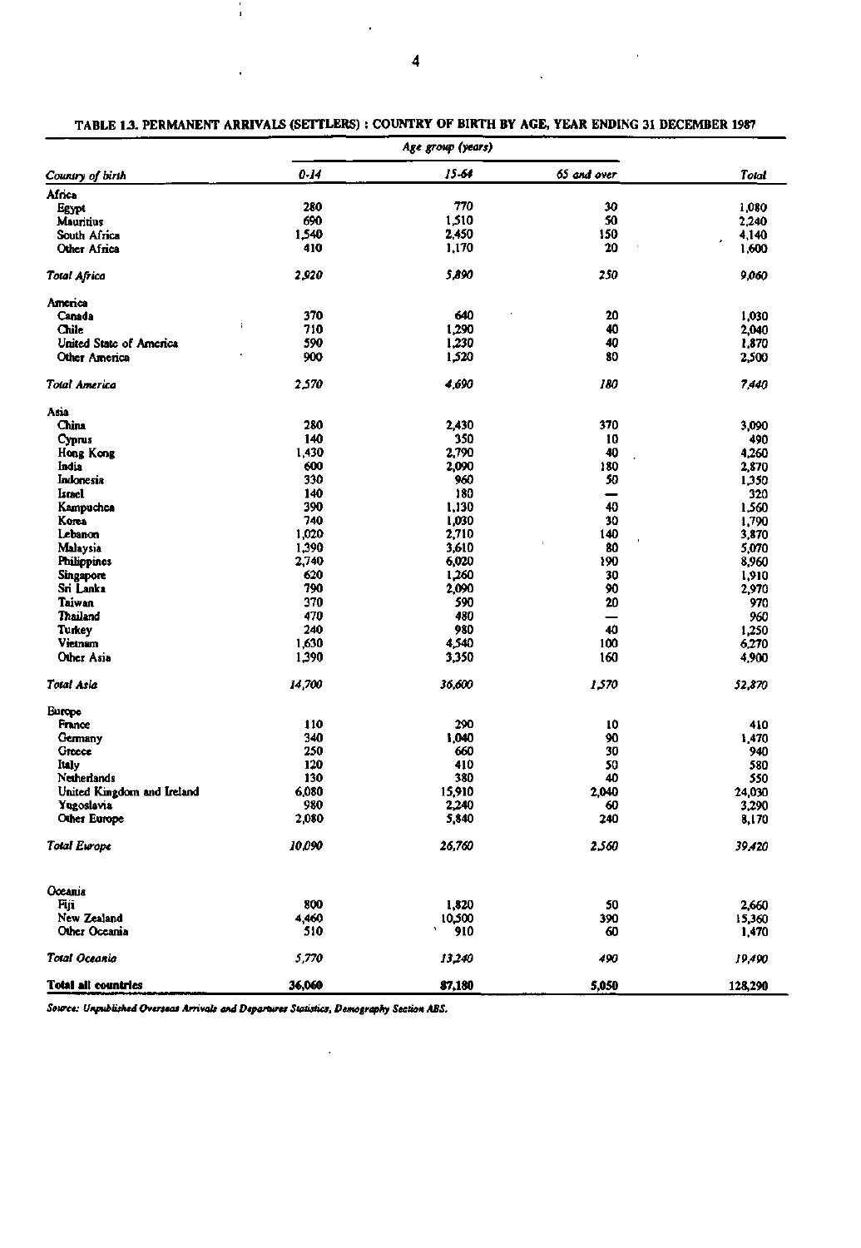|                            |          | Age group (years) |             |                 |
|----------------------------|----------|-------------------|-------------|-----------------|
| Country of birth           | $0 - 14$ | 15-64             | 65 and over | Total           |
| Africa                     |          |                   |             |                 |
| Egypt                      | 280      | 770               | 30          | 1,080           |
| <b>Mauritius</b>           | 690      | 1,510             | 50          | 2,240           |
| South Africa               | 1,540    | 2,450             | 150         | 4,140           |
| Other Africa               | 410      | 1,170             | 20          | 1,600           |
| <b>Total Africa</b>        | 2,920    | 5,890             | 250         | 9,060           |
| America                    |          |                   |             |                 |
| Canada                     | 370      | 640               | 20          | 1,030           |
| $\mathbf{r}$<br>Chile      | 710      | 1,290             | 40          | 2,040           |
| United State of America    | 590      | 1,230             | 40          | 1,870           |
| Other America              | 900      | 1,520             | 80          | 2,500           |
| Total America              | 2,570    | 4,690             | 180         | 7,440           |
| Asia                       |          |                   |             |                 |
| China                      | 280      | 2,430             | 370         | 3,090           |
| Cyprus                     | 140      | 350               | 10          | 490             |
| Hong Kong                  | 1,430    | 2,790             | 40          | 4,260           |
| India                      | 600      | 2,090             | 180         | 2,870           |
| Indonesia                  | 330      | 960               | 50          | 1,350           |
| Israel                     | 140      | 180               | -           | 320             |
| Kampuchea                  | 390      | 1,130             | 40          | 1,560           |
| Korea                      | 740      | 1,030             | 30          | 1,790           |
| Lebanon                    | 1,020    | 2,710             | 140         | 3,870           |
| Malaysia                   | 1,390    | 3,610             | 80          | 5,070           |
| <b>Philippines</b>         | 2,740    | 6,020             | 190         | 8,960           |
| <b>Singapore</b>           | 620      | 1,260             | 30          | 1,910           |
| Sri Lanka                  | 790      | 2,090             | 90          | 2,970           |
| Taiwan                     | 370      | 590               | 20          | 970             |
| Thailend                   | 470      | 480               | -           | 960             |
| Turkey                     | 240      | 980               | 40          | 1,250           |
| Vietnam                    | 1,630    | 4,540             | 100         | 6,270           |
| Other Asia                 | 1,390    | 3,350             | 160         | 4,900           |
| Total Asia                 | 14,700   | 36,600            | 1,570       | 52,870          |
| <b>Burope</b>              |          |                   |             |                 |
| France                     | 110      | 290               | 10          | 410             |
| Germany                    | 340      | 1,040             | 90          | 1,470           |
| Greece                     | 250      | 660               | 30          | 940             |
| ltaly                      | 120      | 410               | 50          | 580             |
| Netherlands                | 130      | 380               | 40          | 550             |
| United Kingdom and Ireland | 6,080    | 15,910            | 2,040       | 24,030          |
| Yugoslavia                 | 980      | 2,240             | 60          | 3,290           |
| Other Europe               | 2,080    | 5,840             | 240         | 8,170           |
| <b>Total Europe</b>        | 10,090   | 26,760            | 2,560       | 39,420          |
| Oceania                    |          |                   |             |                 |
| Fiji                       | 800      |                   | 50          |                 |
| New Zealand                | 4,460    | 1,820             |             | 2,660           |
| Other Oceania              | 510      | 10,500<br>910     | 390<br>60   | 15,360<br>1,470 |
| Total Oceania              | 5,770    | 13,240            | 490         | 19,490          |
| <b>Total all countries</b> | 36,060   | 87,180            | 5,050       | 128,290         |

TABLE **1** J. **PERMANENT ARRIVALS (SETTLERS)** : **COUNTRY OF BIRTH BY AGE, YEAR** ENDING **31** DECEMBER 1987

**87,180**  *Source: Unpublished Overseas Arrivals and Departures Statistics, Demography Section ABS.* 

 $\bar{\gamma}$ 

 $\ddot{\phantom{a}}$ 

 $\ddot{\phantom{a}}$ 

 $\epsilon$ 

 $\frac{1}{4}$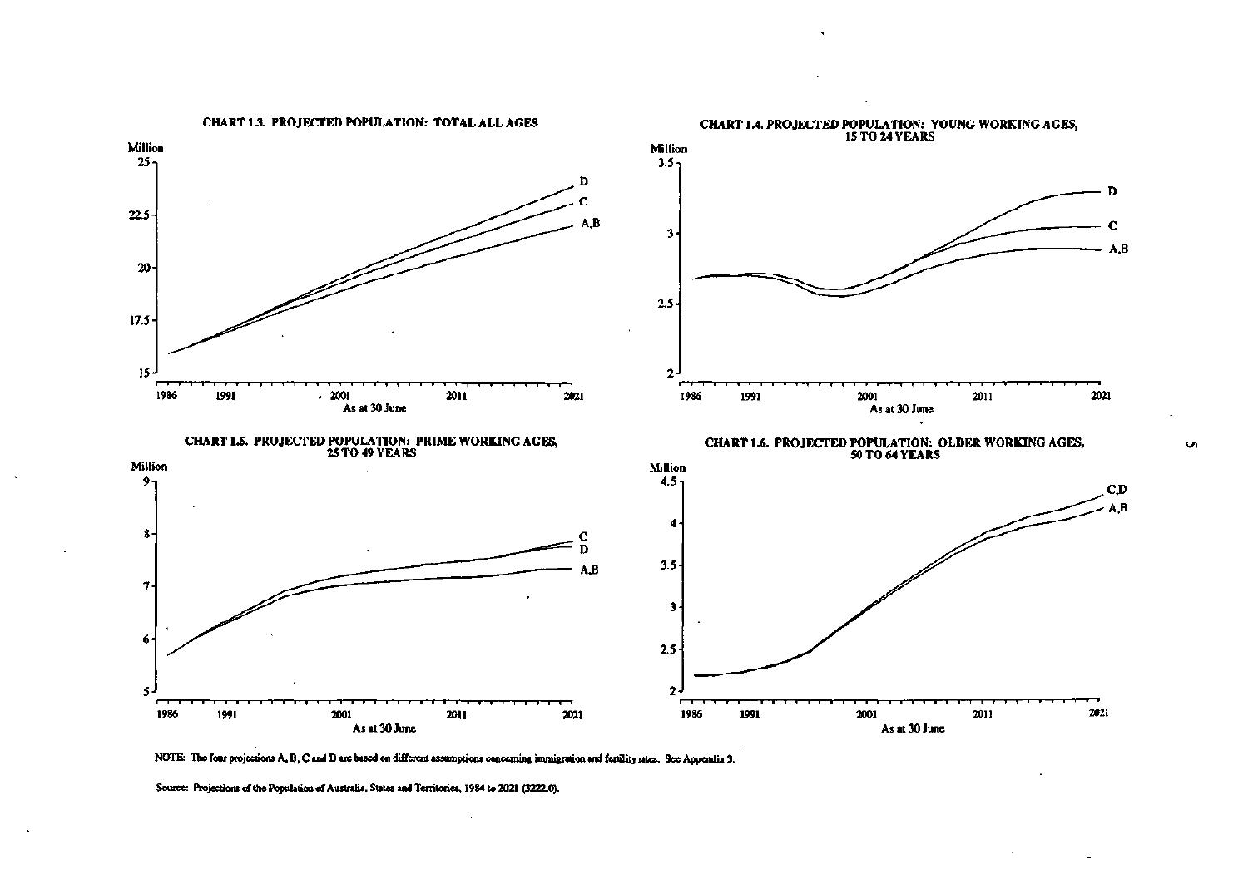

**NOTE: The four projections A, B,C and Date based on different assumptions concerning immigration and fertility rites. See Appendix 3.** 

Ō.

Source: Projections of the Population of Australia, States and Territories, 1984 to 2021 (3222.0).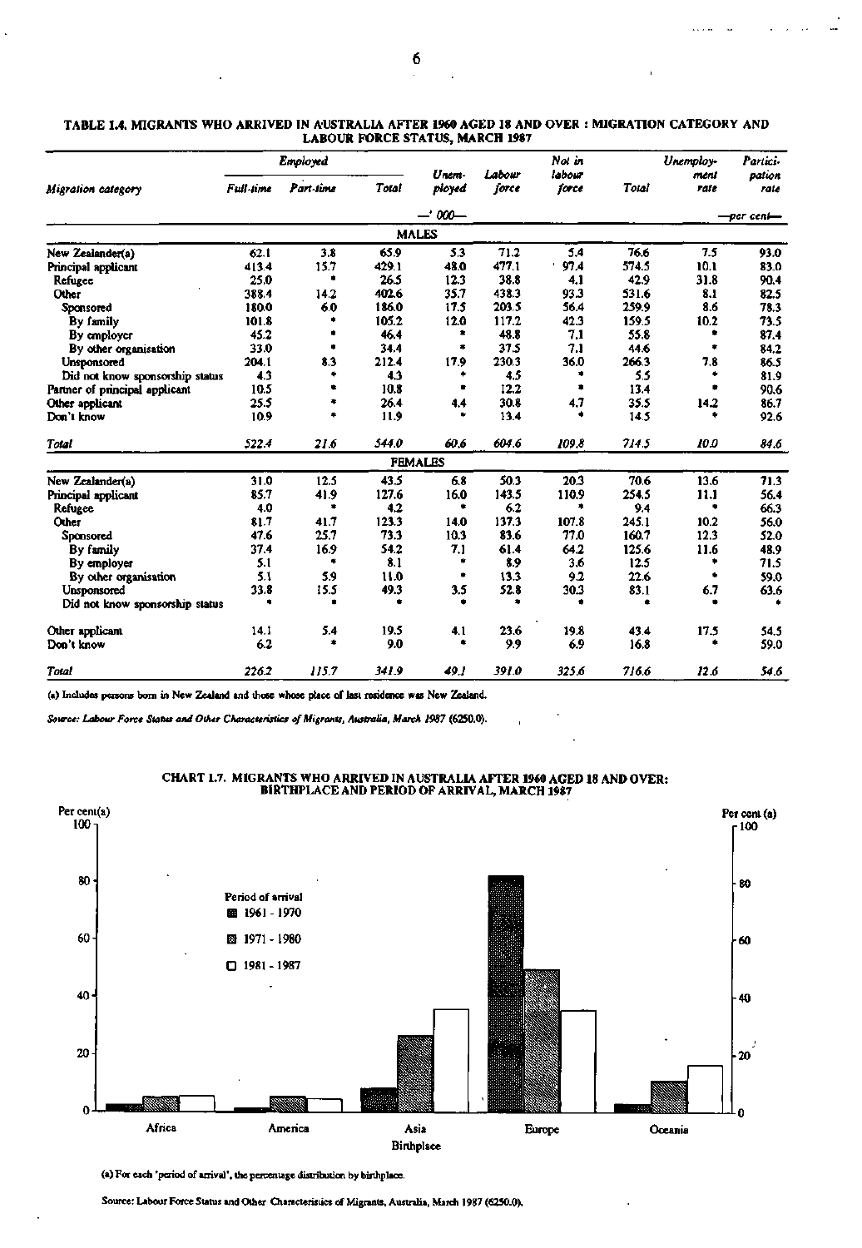$\mathbb{R}^2$ 

 $\overline{a}$  $\overline{a}$ 

 $\ldots$  .  $\ldots$ 

|                                 | Employed         |           |       |                 |                 | Not in          |       | Unemploy-    | Partici-       |  |
|---------------------------------|------------------|-----------|-------|-----------------|-----------------|-----------------|-------|--------------|----------------|--|
| Migration category              | <b>Full-time</b> | Part-time | Total | Unem-<br>ployed | Labour<br>force | labour<br>force | Total | meni<br>rate | pation<br>rate |  |
|                                 |                  |           |       | $-300-$         |                 |                 |       | —per cen⊫    |                |  |
|                                 |                  |           |       | <b>MALES</b>    |                 |                 |       |              |                |  |
| New Zealander(a)                | 62.1             | 3.8       | 65.9  | 5.3             | 71.2            | 5.4             | 76.6  | 7.5          | 93.0           |  |
| Principal applicant             | 413.4            | 15.7      | 429.1 | 48.0            | 477.1           | 97.4            | 574.5 | 10.1         | 83.0           |  |
| Refugee                         | 25.0             | ۰         | 26.5  | 12.3            | 38.8            | 4.1             | 42.9  | 31.8         | 90.4           |  |
| Other                           | 388.4            | 14.2      | 402.6 | 35.7            | 438.3           | 93.3            | 531.6 | 8.1          | 82.5           |  |
| Sponsored                       | 180.0            | 6.0       | 186.0 | 17.5            | 203.5           | 56.4            | 259.9 | 8.6          | 78.3           |  |
| By family                       | 101.8            |           | 105.2 | 12.0            | 117.2           | 42.3            | 159.5 | 10.2         | 73.5           |  |
| By employer                     | 45.2             | ٠         | 46.4  | ٠               | 48.8            | 7.1             | 55.8  | ٠            | 87.4           |  |
| By other organisation           | 33.0             | ٠         | 34.4  | ۰               | 37.5            | 7.1             | 44.6  | ٠            | 84.2           |  |
| <b>Unsponsored</b>              | 204.1            | 8.3       | 212.4 | 17.9            | 230.3           | 36.0            | 266.3 | 7.8          | 86.5           |  |
| Did not know sponsorship status | 4.3              | ۰         | 4.3   | ۰               | 4.5             | ۰               | 5.5   |              | 81.9           |  |
| Partner of principal applicant  | 10.5             | ٠         | 10.8  | ٠               | 12.2            | ٠               | 13.4  |              | 90.6           |  |
| Other applicant                 | 25.5             | ۰         | 26.4  | 4.4             | 30.8            | 4.7             | 35.5  | 14.2         | 86.7           |  |
| Don't know                      | 10.9             | $\bullet$ | 11.9  | ٠               | 13.4            | ۰.              | 14.5  |              | 92.6           |  |
| <b>Total</b>                    | 522.4            | 21.6      | 544.0 | 60.6            | 604.6           | 109.8           | 714.5 | 10.0         | 84.6           |  |
|                                 |                  |           |       | <b>FEMALES</b>  |                 |                 |       |              |                |  |
| New Zealander(a)                | 31.0             | 12.5      | 43.5  | 6.8             | 50.3            | 20.3            | 70.6  | 13.6         | 71.3           |  |
| Principal applicant             | 85.7             | 41.9      | 127.6 | 16.0            | 143.5           | 110.9           | 254.5 | 11.1         | 56.4           |  |
| <b>Refugee</b>                  | 4.0              | ۰         | 4.2   | ٠               | 6.2             | ٠               | 9.4   | ٠            | 66.3           |  |
| Other                           | 81.7             | 41.7      | 123.3 | 14.0            | 137.3           | 107.8           | 245.1 | 10.2         | 56.0           |  |
| Sponsored                       | 47.6             | 25.7      | 73.3  | 10.3            | 83.6            | 77.0            | 160.7 | 12.3         | 52.0           |  |
| By family                       | 37.4             | 16.9      | 54.2  | 7.1             | 61.4            | 64.2            | 125.6 | 11.6         | 48.9           |  |
| By employer                     | 5.1              | ۰         | 8.1   | ٠               | 8.9             | 3.6             | 12.5  |              | 71.5           |  |
| By other organisation           | 5.1              | 5.9       | 11.0  | ٠               | 13.3            | 9.2             | 22.6  | ٠            | 59.0           |  |
| Unsponsored                     | 33.8             | 15.5      | 49.3  | 3.5             | 52.8            | 30.3            | 83.1  | 6.7          | 63.6           |  |
| Did not know sponsorship status |                  |           |       |                 |                 |                 |       |              |                |  |
| Other applicant                 | 14.1             | 5.4       | 19.5  | 4.1             | 23.6            | 19.8            | 43.4  | 17.5         | 54.5           |  |
| Don't know                      | 6.2              | ٠         | 9.0   | ۰               | 9.9             | 6.9             | 16.8  |              | 59.0           |  |
| Total                           | 226.2            | 115.7     | 341.9 | 49.1            | 391.0           | 325.6           | 716.6 | 12.6         | 54.6           |  |

#### TABLE **1.4.** MIGRANTS **WHO** ARRIVED IN AUSTRALIA AFTER **1960** AGED **18** AND OVER MIGRATION CATEGORY AND LABOUR FORCE STATUS, MARCH 1987

(a) Includes persons born in New Zealand and those whose place of last residence was New Zealand.

*Source: Labour Force Status and Other Characteristics of Migrants, Australia, March 1987* **(6250.0).** 



### CHART 1.7. MIGRANTS WHO ARRIVED IN AUSTRALIA AFTER 1960 AGED 18 AND OVER: BIRTHPLACE AND PERIOD OF ARRIVAL, MARCH 1987

(a) For each 'period of arrival', the percentage distribution by birthplace.

Source: Labour Force Status and Other Characteristics of Migrants, Australia, March 1987 (6250.0).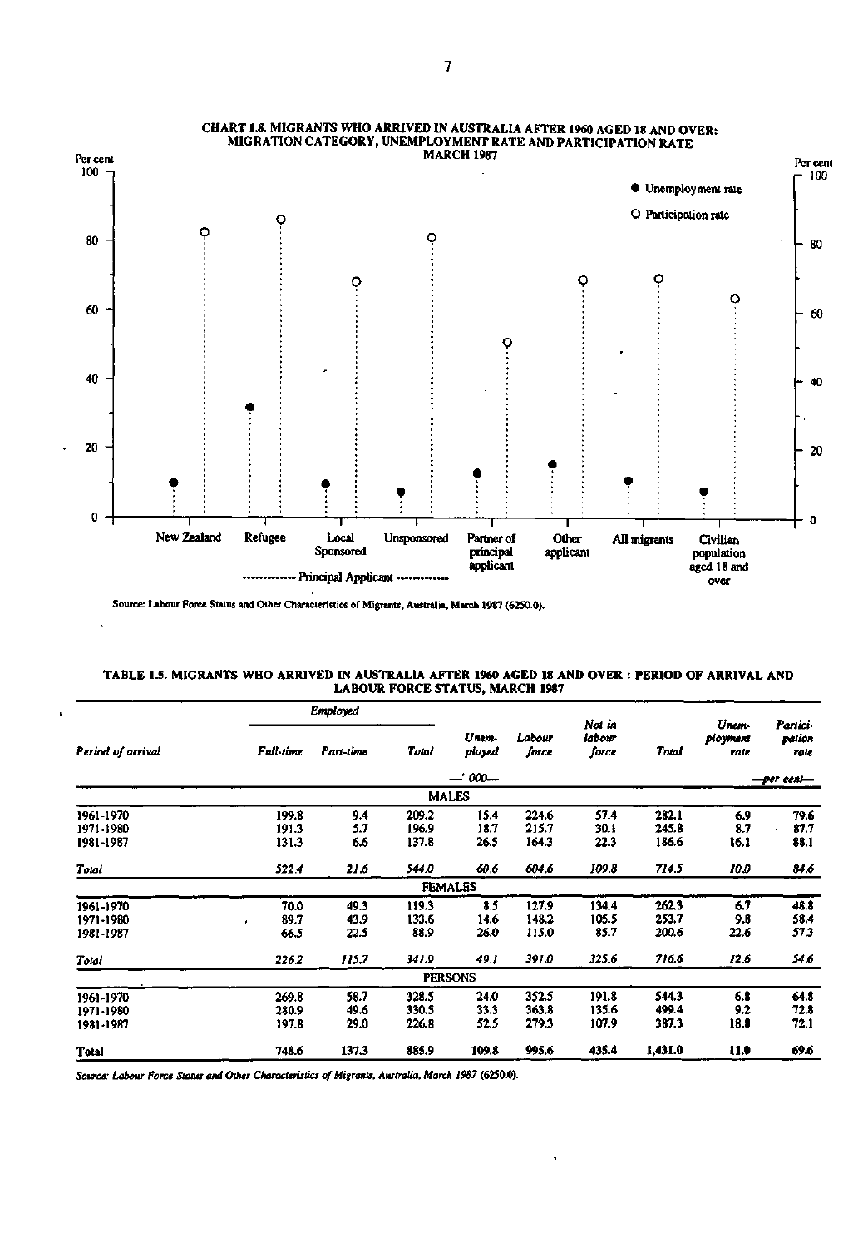

## **CHART 1.8. MIGRANTS WHO ARRIVED IN AUSTRALU AFTER 1960 AGED 18 AND OVER: MIGRATION CATEGORY, UNEMPLOYMENT RATE AND PARTICIPATION RATE**

**Source: Labour Force Status and Other Characteristics of Migrants. Australia, March 1987 (62S0.0).** 

j.

| TABLE 1.5. MIGRANTS WHO ARRIVED IN AUSTRALIA AFTER 1960 AGED 18 AND OVER : PERIOD OF ARRIVAL AND |  |
|--------------------------------------------------------------------------------------------------|--|
| <b>LABOUR FORCE STATUS, MARCH 1987</b>                                                           |  |

|                                     |                         | Employed             |                         |                      |                         | Not in                  |                         | Unem-              | Partici-             |
|-------------------------------------|-------------------------|----------------------|-------------------------|----------------------|-------------------------|-------------------------|-------------------------|--------------------|----------------------|
| Period of arrival                   | Full-time               | Part-time            | Total                   | Unem-<br>ployed      | Labour<br>force         | labour<br>force         | Total                   | ployment<br>rate   | pation<br>rate       |
|                                     |                         |                      |                         |                      |                         |                         | -per cent-              |                    |                      |
|                                     |                         |                      |                         | <b>MALES</b>         |                         |                         |                         |                    |                      |
| 1961-1970<br>1971-1980<br>1981-1987 | 199.8<br>191.3<br>131.3 | 9.4<br>5.7<br>6.6    | 209.2<br>196.9<br>137.8 | 15.4<br>18.7<br>26.5 | 224.6<br>215.7<br>164.3 | 57.4<br>30.1<br>22.3    | 282.1<br>245.8<br>186.6 | 6.9<br>8.7<br>16.1 | 79.6<br>87.7<br>88.1 |
| Total                               | 522.4                   | 21.6                 | 544.0                   | 60.6                 | 604.6                   | 109.8                   | 714.5                   | 10.0               | 84.6                 |
|                                     |                         |                      |                         | <b>FEMALES</b>       |                         |                         |                         |                    |                      |
| 1961-1970<br>1971-1980<br>1981-1987 | 70.0<br>89.7<br>66.5    | 49.3<br>43.9<br>22.5 | 119.3<br>133.6<br>88.9  | 8.5<br>14.6<br>26.0  | 127.9<br>148.2<br>115.0 | 134.4<br>105.5<br>85.7  | 262.3<br>253.7<br>200.6 | 6.7<br>9.8<br>22.6 | 48.8<br>58.4<br>57.3 |
| Total                               | 226.2                   | 115.7                | 341.9                   | 49.1                 | 391.0                   | 325.6                   | 716.6                   | 12.6               | 54.6                 |
|                                     |                         |                      |                         | <b>PERSONS</b>       |                         |                         |                         |                    |                      |
| 1961-1970<br>1971-1980<br>1981-1987 | 269.8<br>280.9<br>197.8 | 58.7<br>49.6<br>29.0 | 328.5<br>330.5<br>226.8 | 24.0<br>33.3<br>52.5 | 352.5<br>363.8<br>279.3 | 191.8<br>135.6<br>107.9 | 544.3<br>499.4<br>387.3 | 6.8<br>9.2<br>18.8 | 64.8<br>72.8<br>72.1 |
| Total                               | 748.6                   | 137.3                | 885.9                   | 109.8                | 995.6                   | 435.4                   | 1,431.0                 | 11.0               | 69.6                 |

 $\,$ 

*Source: Labour Force Status and Other Characteristics of Migrants, Australia, March 1987* **(62S0.0).**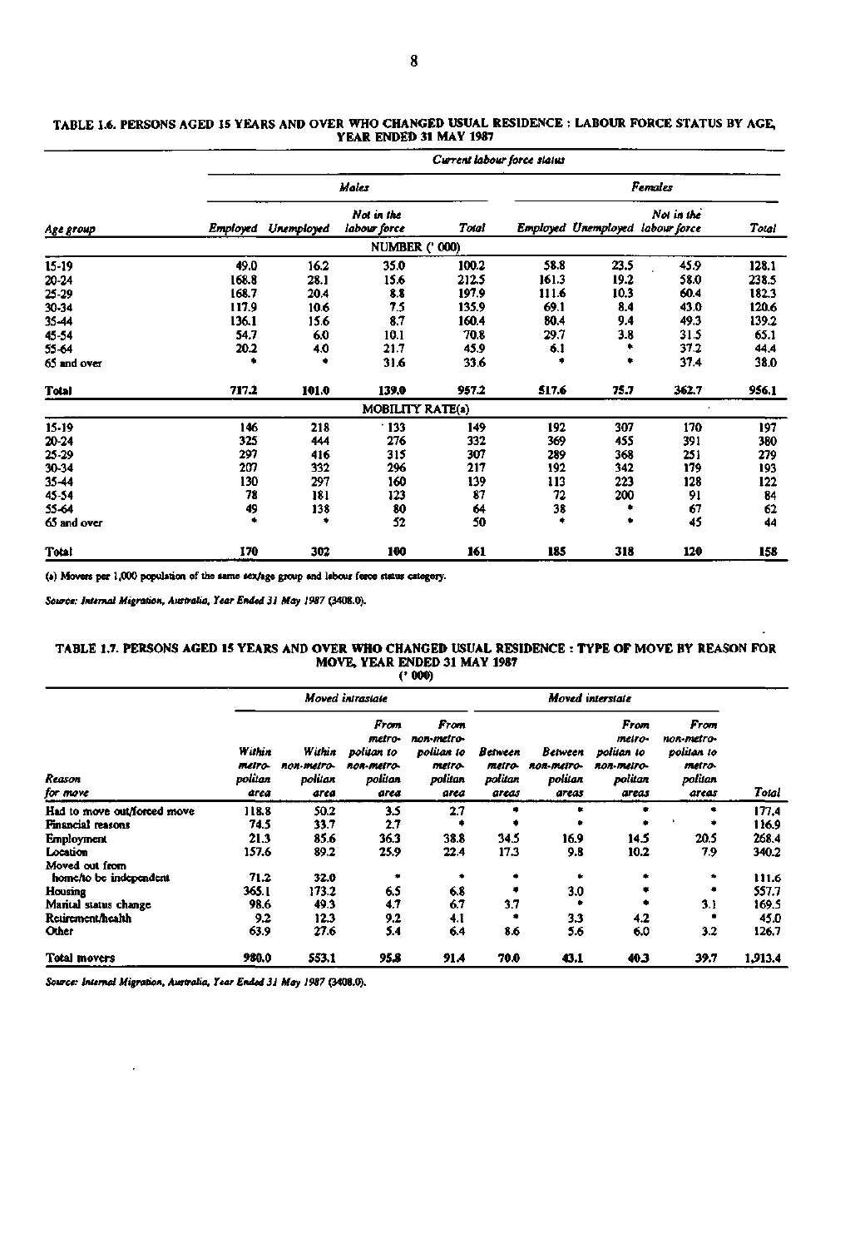|              |          | Current labour force status |                            |       |       |      |                                                |       |  |  |  |  |
|--------------|----------|-----------------------------|----------------------------|-------|-------|------|------------------------------------------------|-------|--|--|--|--|
|              |          |                             | Males                      |       |       |      | <b>Females</b>                                 |       |  |  |  |  |
| Age group    | Employed | Unemployed                  | Not in the<br>labour force | Total |       |      | Not in the<br>Employed Unemployed labour force | Total |  |  |  |  |
|              |          |                             | <b>NUMBER (' 000)</b>      |       |       |      |                                                |       |  |  |  |  |
| $15-19$      | 49.0     | 16.2                        | 35.0                       | 100.2 | 58.8  | 23.5 | 45.9                                           | 128.1 |  |  |  |  |
| 20-24        | 168.8    | 28.1                        | 15.6                       | 212.5 | 161.3 | 19.2 | 58.0                                           | 238.5 |  |  |  |  |
| $25 - 29$    | 168.7    | 20.4                        | 8.8                        | 197.9 | 111.6 | 10.3 | 60.4                                           | 182.3 |  |  |  |  |
| 30-34        | 117.9    | 10.6                        | 7.5                        | 135.9 | 69.1  | 8.4  | 43.0                                           | 120.6 |  |  |  |  |
| 35-44        | 136.1    | 15.6                        | 8.7                        | 160.4 | 80.4  | 9.4  | 49.3                                           | 139.2 |  |  |  |  |
| 45-54        | 54.7     | 6.0                         | 10.1                       | 70.8  | 29.7  | 3.8  | 31.5                                           | 65.1  |  |  |  |  |
| 55-64        | 20.2     | 4.0                         | 21.7                       | 45.9  | 6.1   |      | 37.2                                           | 44.4  |  |  |  |  |
| 65 and over  |          | ٠                           | 31.6                       | 33.6  | 瘨     |      | 37.4                                           | 38.0  |  |  |  |  |
| Total        | 717.2    | 101.0                       | 139.0                      | 957.2 | 517.6 | 75.7 | 362.7                                          | 956.1 |  |  |  |  |
|              |          |                             | MOBILITY RATE(a)           |       |       |      |                                                |       |  |  |  |  |
| $15-19$      | 146      | 218                         | $\cdot$ 133                | 149   | 192   | 307  | 170                                            | 197   |  |  |  |  |
| 20-24        | 325      | 444                         | 276                        | 332   | 369   | 455  | 391                                            | 380   |  |  |  |  |
| 25-29        | 297      | 416                         | 315                        | 307   | 289   | 368  | 251                                            | 279   |  |  |  |  |
| 30-34        | 207      | 332                         | 296                        | 217   | 192   | 342  | 179                                            | 193   |  |  |  |  |
| 35-44        | 130      | 297                         | 160                        | 139   | 113   | 223  | 128                                            | 122   |  |  |  |  |
| 45-54        | 78       | 181                         | 123                        | 87    | 72    | 200  | 91                                             | 84    |  |  |  |  |
| 55-64        | 49       | 138                         | 80                         | 64    | 38    |      | 67                                             | 62    |  |  |  |  |
| 65 and over  |          | ۰                           | 52                         | 50    | ۰     |      | 45                                             | 44    |  |  |  |  |
| <b>Total</b> | 170      | 302                         | 100                        | 161   | 185   | 318  | 120                                            | 158   |  |  |  |  |

#### **TABLE 1.6. PERSONS** AGED **15 YEARS** AND **OVER WHO CHANGED USUAL RESIDENCE** : **YEAR ENDED 31 MAY 1987**  LABOUR FORCE STATUS BY AGE,

(a) Movers per 1,000 population of the same sex/age group and labour force status category.

*Source: Internal Migration. Australia. Year Ended 31 May 1987* **(3408.0).** 

#### **TABLE 1.7. PERSONS AGED 15 YEARS AND OVER WHO CHANGED USUAL RESIDENCE TYPE OF MOVE BY** REASON FOR **MOVE, YEAR ENDED 31 MAY 1987 (•000)**

|                                          |                                     |                                         | Moved intrastate                                              |                                                               | Moved interstate                      |                                           |                                                                |                                                                |         |
|------------------------------------------|-------------------------------------|-----------------------------------------|---------------------------------------------------------------|---------------------------------------------------------------|---------------------------------------|-------------------------------------------|----------------------------------------------------------------|----------------------------------------------------------------|---------|
| Reason<br>for move                       | Within<br>metro-<br>politan<br>area | Within<br>non-metro-<br>politan<br>area | From<br>metro-<br>politan to<br>non-metro-<br>politan<br>area | From<br>non-meiro-<br>politan to<br>metro-<br>politan<br>area | Between<br>metro-<br>politan<br>areas | Between<br>non-metro-<br>politan<br>areas | From<br>metro-<br>politan to<br>non-metro-<br>politan<br>areas | From<br>non-metro-<br>politan to<br>metro-<br>politan<br>areas | Total   |
| Had to move out/forced move              | 118.8                               | 50.2                                    | 3.5                                                           | 2.7                                                           |                                       |                                           | ٠                                                              |                                                                | 177.4   |
| Financial reasons                        | 74.5                                | 33.7                                    | 2.7                                                           |                                                               |                                       |                                           | ۰                                                              | ۰                                                              | 116.9   |
| <b>Employment</b>                        | 21.3                                | 85.6                                    | 36.3                                                          | 38.8                                                          | 34.5                                  | 16.9                                      | 14.5                                                           | 20.5                                                           | 268.4   |
| Location                                 | 157.6                               | 89.2                                    | 25.9                                                          | 22.4                                                          | 17.3                                  | 9.8                                       | 10.2                                                           | 7.9                                                            | 340.2   |
| Moved out from<br>home/to be independent | 71.2                                | 32.0                                    | ۰                                                             |                                                               |                                       |                                           | ٠                                                              |                                                                | 111.6   |
| Housing                                  | 365.1                               | 173.2                                   | 6.5                                                           | 6.8                                                           |                                       | 3.0                                       | ۰                                                              |                                                                | 557.7   |
| Marital status change                    | 98.6                                | 49.3                                    | 4.7                                                           | 6.7                                                           | 3.7                                   |                                           | ۰                                                              | 3.1                                                            | 169.5   |
| Reurement/health                         | 9.2                                 | 12.3                                    | 9.2                                                           | 4.1                                                           |                                       | 3.3                                       | 4.2                                                            |                                                                | 45.0    |
| Other                                    | 63.9                                | 27.6                                    | 5.4                                                           | 6.4                                                           | 8.6                                   | 5.6                                       | 6.0                                                            | 3.2                                                            | 126.7   |
| Total movers                             | 980.0                               | 553.1                                   | 95.8                                                          | 91.4                                                          | 70.0                                  | 43.1                                      | 40.3                                                           | 39.7                                                           | 1,913.4 |

*Source: Internal Migration. Australia. Year Ended 31 May 1987* **(3408.0).**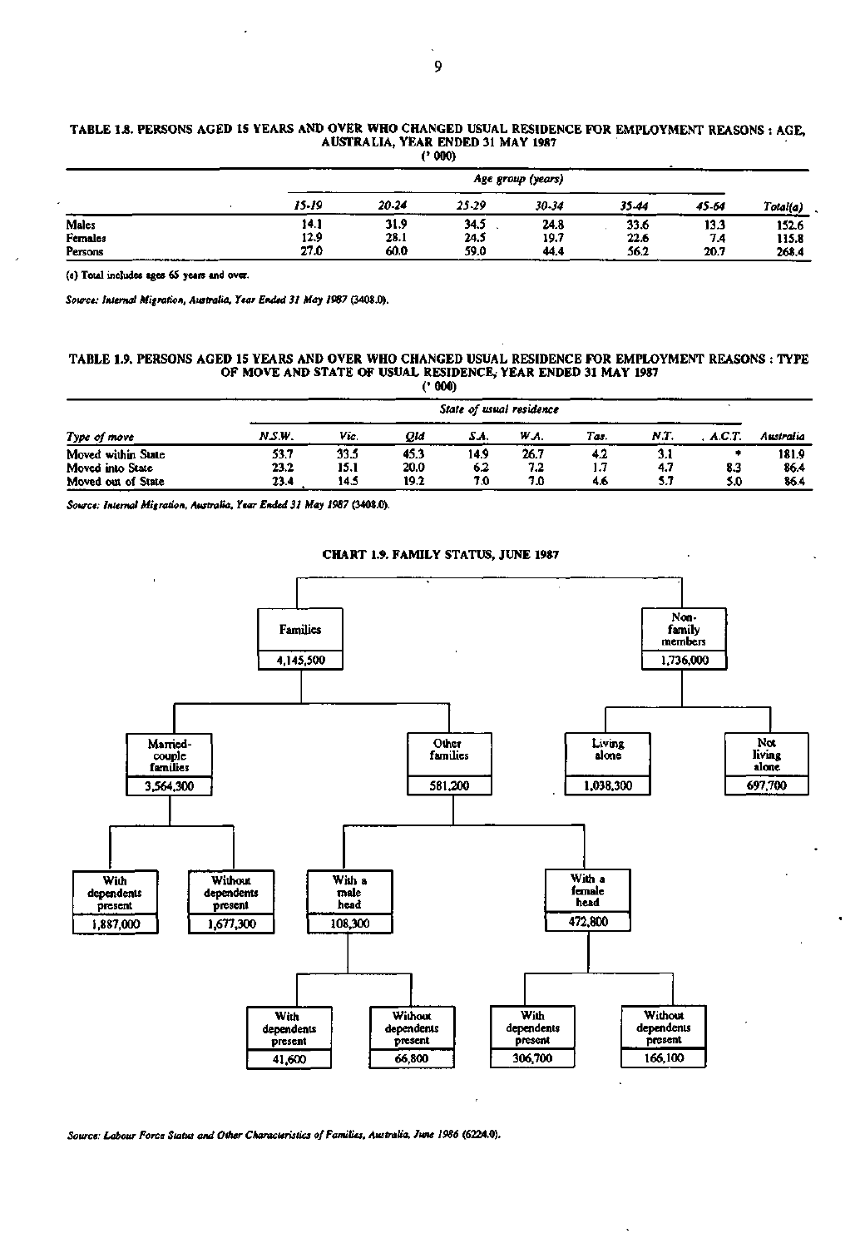#### **TABLE 1.8. PERSONS AGED 15 YEARS AND OVER WHO CHANGED USUAL RESIDENCE FOR EMPLOYMENT REASONS : AGE, AUSTRALIA, YEAR ENDED 31 MAY 1987 (•000)**

|         |       | Age group (years) |       |       |            |       |          |  |  |  |
|---------|-------|-------------------|-------|-------|------------|-------|----------|--|--|--|
|         | 15-19 | 20-24             | 25-29 | 30-34 | 35.44      | 45-64 | Total(a) |  |  |  |
| Males   | 14.1  | 31.9              | 34.5  | 24.8  | 33.6       | 13.3  | 152.6    |  |  |  |
| Females | 12.9  | 28.1              | 24.5  | 19.7  | 22.6       | 74    | 115.8    |  |  |  |
| Persons | 27.0  | 60.0              | 59.0  | 44.4  | 56.2<br>-- | 20.7  | 268.4    |  |  |  |

**(a) Total includes ages 65 yean and over.** 

*Source: Internal Migration, Australia. Year Ended 31 May 1987* **(3408.0).** 

#### **TABLE 1.9. PERSONS AGED 15 YEARS AND OVER WHO CHANGED USUAL RESIDENCE FOR EMPLOYMENT REASONS : TYPE OF MOVE AND STATE OF USUAL RESIDENCE, YEAR ENDED 31 MAY 1987 (• 000)**

|                    |        | State of usual residence |      |      |      |      |      |        |           |  |  |
|--------------------|--------|--------------------------|------|------|------|------|------|--------|-----------|--|--|
| Type of move       | N.S.W. | Vic.                     | Old  | SA.  | W.A. | Tas. | N.T. | A.C.T. | Australia |  |  |
| Moved within State | 53.7   | 33.5                     | 45.3 | 14.9 | 26.7 | 4.2  |      |        | 181.9     |  |  |
| Moved into State   | 23.2   | 15.1                     | 20.0 | 6.2  | 7.2  | 1.7  | 4.7  | 8.3    | 86.4      |  |  |
| Moved out of State | 23.4   | 14.5                     | 19.2 | 7.0  | 7.0  | 4.6  | 5.7  | 5.0    | 86.4      |  |  |

*Source: Internal Migration, Australia. Year Ended 31 May 1987* **(3408.0).** 

# **CHART 1.9. FAMILY STATUS, JUNE 1987**



*Source: Labour Force Status and Other Characteristics of Families, Australia, June 1986* **(6224.0).**